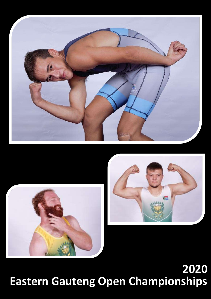





# **Eastern Gauteng Open Championships 2020**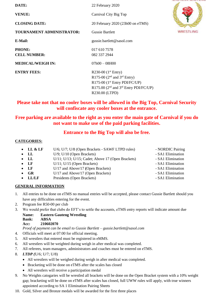| DATE:                     | 22 February 2020                           |           |
|---------------------------|--------------------------------------------|-----------|
| <b>VENUE:</b>             | Carnival City Big Top                      |           |
| <b>CLOSING DATE:</b>      | 20 February 2020 (23h00 on eTMS)           |           |
| TOURNAMENT ADMINISTRATOR: | <b>Gussie Bartlett</b>                     | WRESTLING |
| E-Mail:                   | gussie.bartlett@sasol.com                  |           |
| <b>PHONE:</b>             | 017 610 7578                               |           |
| <b>CELL NUMBER:</b>       | 082 337 2944                               |           |
| <b>MEDICAL/WEIGH IN:</b>  | $07h00 - 08H00$                            |           |
| <b>ENTRY FEES:</b>        | R230-00 $(1st Entry)$                      |           |
|                           | R175-00 ( $2nd$ and $3rd$ Entry)           |           |
|                           | R175-00 (1 <sup>st</sup> Entry PDI/FC/UP)  |           |
|                           | R175.00 ( $2nd$ and $3rd$ Entry PDI/FC/UP) |           |
|                           | R230.00 (LTPD)                             |           |

## **Please take not that no cooler boxes will be allowed in the Big Top, Carnival Security will confiscate any cooler boxes at the entrance.**

## **Free parking are available to the right as you enter the main gate of Carnival if you do not want to make use of the paid parking facilities.**

### **Entrance to the Big Top will also be free.**

#### **CATEGORIES:**

| $\bullet$ LL & LF | U/6; U/7; U/8 (Open Brackets - SAWF LTPD rules)            | - NORDIC Pairing  |
|-------------------|------------------------------------------------------------|-------------------|
| $\bullet$ LL      | $U/9$ ; $U/10$ (Open Brackets)                             | - SA1 Elimination |
| $\bullet$ LL      | $U/11$ ; $U/13$ ; $U/15$ ; Cadet; Above 17 (Open Brackets) | - SA1 Elimination |
| $\bullet$ LF      | $U/11$ ; $U/15$ (Open Brackets)                            | - SA1 Elimination |
| $\bullet$ LF      | U/17 and Above/17 (Open Brackets)                          | - SA1 Elimination |
| $\bullet$ GR      | U/17 and Above/17 (Open Brackets)                          | - SA1 Elimination |
| $\bullet$ LL/LF   | Presidents (Open Brackets)                                 | - SA1 Elimination |

#### **GENERAL INFORMATION**

- 1. All entries to be done on eTMS no manual entries will be accepted, please contact Gussie Bartlett should you have any difficulties entering for the event.
- 2. Program fee R50-00 per club
- 3. We would prefer that clubs do EFT's to settle the accounts, eTMS entry reports will indicate amount due
	- **Name: Eastern Gauteng Wrestling**
		- **Bank: ABSA**
		- **Acc: 210602070**

*Proof of payment can be email to Gussie Bartlett – gussie.bartlett@sasol.com* 

- 4. Officials will meet at 07:00 for official meeting.
- 5. All wrestlers that entered must be registered in eMMS.
- 6. All wrestlers will be weighted during weigh in after medical was completed.
- 7. All referees, team managers, administrators and coaches must be entered on eTMS.
- 8. *LTDP (*U/6; U/7; U/8)
	- All wrestlers will be weighed during weigh in after medical was completed.
	- Bracketing will be done on eTMS after the scales has closed
	- All wrestlers will receive a participation medal
- 9. No Weights catogaries will be wrestled all brackets will be done on the Open Bracket system with a 10% weight gap; bracketing will be done on eTMS after scales has closed, full UWW rules will apply, with true winners appointed according to SA 1 Elimination Pairing Sheets
- 10. Gold, Silver and Bronze medals will be awarded for the first three places